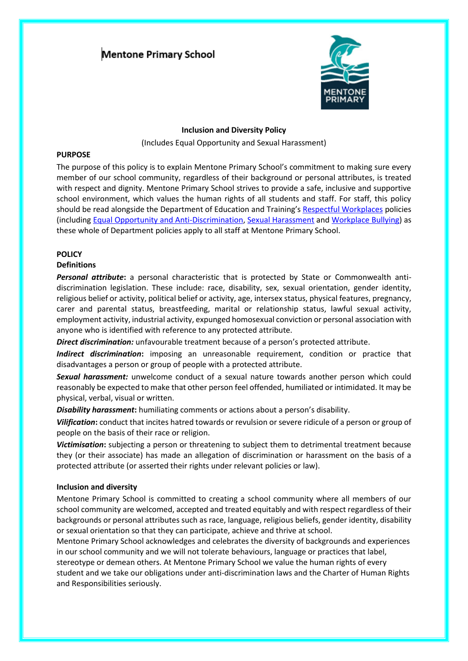# **Mentone Primary School**



#### **Inclusion and Diversity Policy**

(Includes Equal Opportunity and Sexual Harassment)

#### **PURPOSE**

The purpose of this policy is to explain Mentone Primary School's commitment to making sure every member of our school community, regardless of their background or personal attributes, is treated with respect and dignity. Mentone Primary School strives to provide a safe, inclusive and supportive school environment, which values the human rights of all students and staff. For staff, this policy should be read alongside the Department of Education and Training's [Respectful Workplaces](https://www.education.vic.gov.au/hrweb/divequity/Pages/respect.aspx) policies (including [Equal Opportunity and Anti-Discrimination,](https://www.education.vic.gov.au/hrweb/divequity/Pages/default_eeo.aspx) [Sexual Harassment](https://www.education.vic.gov.au/hrweb/divequity/Pages/SexualHarassment.aspx) and [Workplace Bullying\)](https://www.education.vic.gov.au/hrweb/safetyhw/Pages/workplacebullying.aspx) as these whole of Department policies apply to all staff at Mentone Primary School.

# **POLICY**

# **Definitions**

*Personal attribute***:** a personal characteristic that is protected by State or Commonwealth antidiscrimination legislation. These include: race, disability, sex, sexual orientation, gender identity, religious belief or activity, political belief or activity, age, intersex status, physical features, pregnancy, carer and parental status, breastfeeding, marital or relationship status, lawful sexual activity, employment activity, industrial activity, expunged homosexual conviction or personal association with anyone who is identified with reference to any protected attribute.

*Direct discrimination:* unfavourable treatment because of a person's protected attribute.

*Indirect discrimination***:** imposing an unreasonable requirement, condition or practice that disadvantages a person or group of people with a protected attribute.

*Sexual harassment:* unwelcome conduct of a sexual nature towards another person which could reasonably be expected to make that other person feel offended, humiliated or intimidated. It may be physical, verbal, visual or written.

*Disability harassment***:** humiliating comments or actions about a person's disability.

*Vilification***:** conduct that incites hatred towards or revulsion or severe ridicule of a person or group of people on the basis of their race or religion.

*Victimisation***:** subjecting a person or threatening to subject them to detrimental treatment because they (or their associate) has made an allegation of discrimination or harassment on the basis of a protected attribute (or asserted their rights under relevant policies or law).

## **Inclusion and diversity**

Mentone Primary School is committed to creating a school community where all members of our school community are welcomed, accepted and treated equitably and with respect regardless of their backgrounds or personal attributes such as race, language, religious beliefs, gender identity, disability or sexual orientation so that they can participate, achieve and thrive at school.

Mentone Primary School acknowledges and celebrates the diversity of backgrounds and experiences in our school community and we will not tolerate behaviours, language or practices that label, stereotype or demean others. At Mentone Primary School we value the human rights of every student and we take our obligations under anti-discrimination laws and the Charter of Human Rights and Responsibilities seriously.